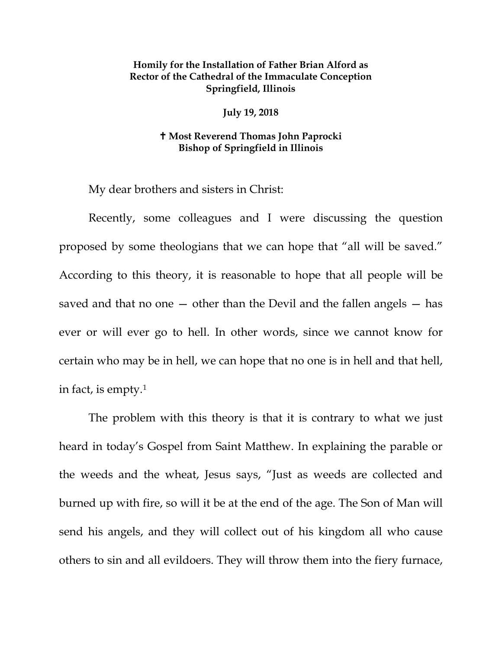## **Homily for the Installation of Father Brian Alford as Rector of the Cathedral of the Immaculate Conception Springfield, Illinois**

**July 19, 2018**

## **Most Reverend Thomas John Paprocki Bishop of Springfield in Illinois**

My dear brothers and sisters in Christ:

Recently, some colleagues and I were discussing the question proposed by some theologians that we can hope that "all will be saved." According to this theory, it is reasonable to hope that all people will be saved and that no one  $-$  other than the Devil and the fallen angels  $-$  has ever or will ever go to hell. In other words, since we cannot know for certain who may be in hell, we can hope that no one is in hell and that hell, in fact, is empty[.1](#page-7-0)

The problem with this theory is that it is contrary to what we just heard in today's Gospel from Saint Matthew. In explaining the parable or the weeds and the wheat, Jesus says, "Just as weeds are collected and burned up with fire, so will it be at the end of the age. The Son of Man will send his angels, and they will collect out of his kingdom all who cause others to sin and all evildoers. They will throw them into the fiery furnace,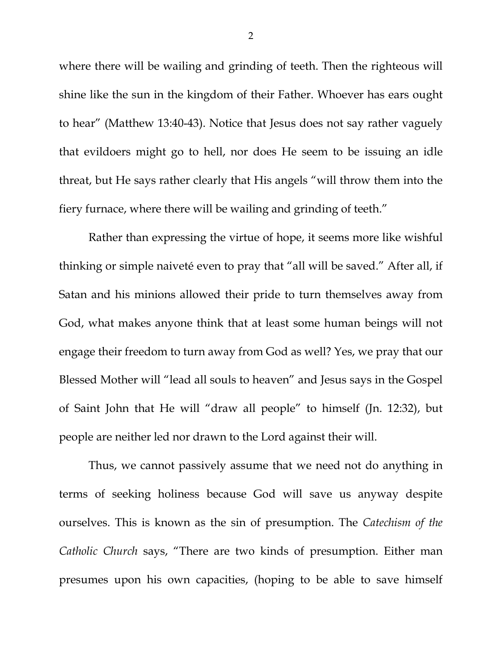where there will be wailing and grinding of teeth. Then the righteous will shine like the sun in the kingdom of their Father. Whoever has ears ought to hear" (Matthew 13:40-43). Notice that Jesus does not say rather vaguely that evildoers might go to hell, nor does He seem to be issuing an idle threat, but He says rather clearly that His angels "will throw them into the fiery furnace, where there will be wailing and grinding of teeth."

Rather than expressing the virtue of hope, it seems more like wishful thinking or simple naiveté even to pray that "all will be saved." After all, if Satan and his minions allowed their pride to turn themselves away from God, what makes anyone think that at least some human beings will not engage their freedom to turn away from God as well? Yes, we pray that our Blessed Mother will "lead all souls to heaven" and Jesus says in the Gospel of Saint John that He will "draw all people" to himself (Jn. 12:32), but people are neither led nor drawn to the Lord against their will.

Thus, we cannot passively assume that we need not do anything in terms of seeking holiness because God will save us anyway despite ourselves. This is known as the sin of presumption. The *Catechism of the Catholic Church* says, "There are two kinds of presumption. Either man presumes upon his own capacities, (hoping to be able to save himself

2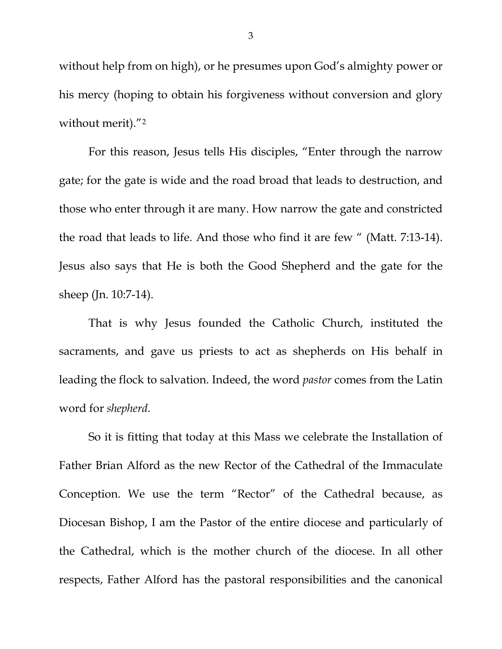without help from on high), or he presumes upon God's almighty power or his mercy (hoping to obtain his forgiveness without conversion and glory without merit)."[2](#page-7-1)

For this reason, Jesus tells His disciples, "Enter through the narrow gate; for the gate is wide and the road broad that leads to destruction, and those who enter through it are many. How narrow the gate and constricted the road that leads to life. And those who find it are few " (Matt. 7:13-14). Jesus also says that He is both the Good Shepherd and the gate for the sheep (Jn. 10:7-14).

That is why Jesus founded the Catholic Church, instituted the sacraments, and gave us priests to act as shepherds on His behalf in leading the flock to salvation. Indeed, the word *pastor* comes from the Latin word for *shepherd*.

So it is fitting that today at this Mass we celebrate the Installation of Father Brian Alford as the new Rector of the Cathedral of the Immaculate Conception. We use the term "Rector" of the Cathedral because, as Diocesan Bishop, I am the Pastor of the entire diocese and particularly of the Cathedral, which is the mother church of the diocese. In all other respects, Father Alford has the pastoral responsibilities and the canonical

3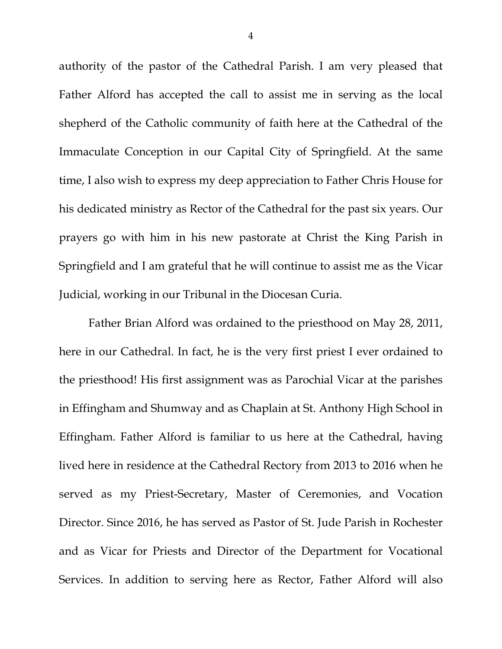authority of the pastor of the Cathedral Parish. I am very pleased that Father Alford has accepted the call to assist me in serving as the local shepherd of the Catholic community of faith here at the Cathedral of the Immaculate Conception in our Capital City of Springfield. At the same time, I also wish to express my deep appreciation to Father Chris House for his dedicated ministry as Rector of the Cathedral for the past six years. Our prayers go with him in his new pastorate at Christ the King Parish in Springfield and I am grateful that he will continue to assist me as the Vicar Judicial, working in our Tribunal in the Diocesan Curia.

Father Brian Alford was ordained to the priesthood on May 28, 2011, here in our Cathedral. In fact, he is the very first priest I ever ordained to the priesthood! His first assignment was as Parochial Vicar at the parishes in Effingham and Shumway and as Chaplain at St. Anthony High School in Effingham. Father Alford is familiar to us here at the Cathedral, having lived here in residence at the Cathedral Rectory from 2013 to 2016 when he served as my Priest-Secretary, Master of Ceremonies, and Vocation Director. Since 2016, he has served as Pastor of St. Jude Parish in Rochester and as Vicar for Priests and Director of the Department for Vocational Services. In addition to serving here as Rector, Father Alford will also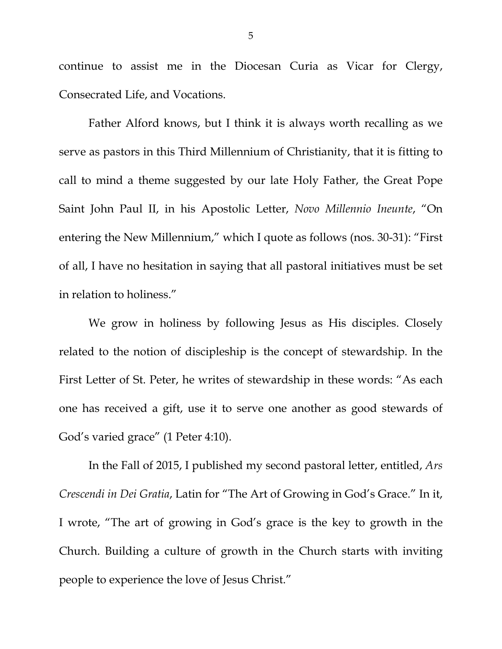continue to assist me in the Diocesan Curia as Vicar for Clergy, Consecrated Life, and Vocations.

Father Alford knows, but I think it is always worth recalling as we serve as pastors in this Third Millennium of Christianity, that it is fitting to call to mind a theme suggested by our late Holy Father, the Great Pope Saint John Paul II, in his Apostolic Letter, *Novo Millennio Ineunte*, "On entering the New Millennium," which I quote as follows (nos. 30-31): "First of all, I have no hesitation in saying that all pastoral initiatives must be set in relation to holiness."

We grow in holiness by following Jesus as His disciples. Closely related to the notion of discipleship is the concept of stewardship. In the First Letter of St. Peter, he writes of stewardship in these words: "As each one has received a gift, use it to serve one another as good stewards of God's varied grace" (1 Peter 4:10).

In the Fall of 2015, I published my second pastoral letter, entitled, *Ars Crescendi in Dei Gratia*, Latin for "The Art of Growing in God's Grace." In it, I wrote, "The art of growing in God's grace is the key to growth in the Church. Building a culture of growth in the Church starts with inviting people to experience the love of Jesus Christ."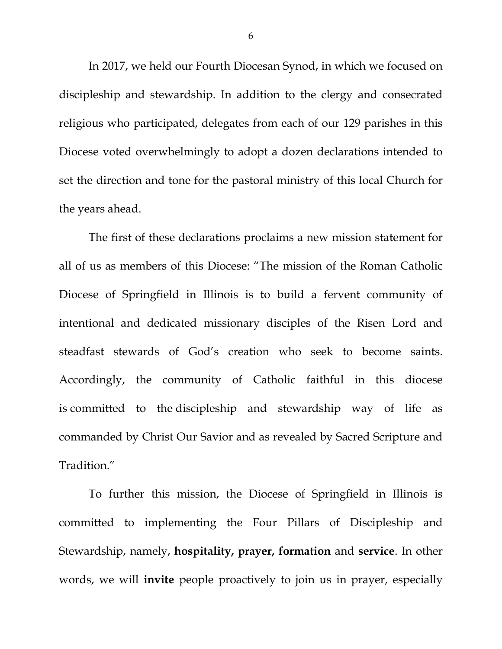In 2017, we held our Fourth Diocesan Synod, in which we focused on discipleship and stewardship. In addition to the clergy and consecrated religious who participated, delegates from each of our 129 parishes in this Diocese voted overwhelmingly to adopt a dozen declarations intended to set the direction and tone for the pastoral ministry of this local Church for the years ahead.

The first of these declarations proclaims a new mission statement for all of us as members of this Diocese: "The mission of the Roman Catholic Diocese of Springfield in Illinois is to build a fervent community of intentional and dedicated missionary disciples of the Risen Lord and steadfast stewards of God's creation who seek to become saints. Accordingly, the community of Catholic faithful in this diocese is committed to the discipleship and stewardship way of life as commanded by Christ Our Savior and as revealed by Sacred Scripture and Tradition."

To further this mission, the Diocese of Springfield in Illinois is committed to implementing the Four Pillars of Discipleship and Stewardship, namely, **hospitality, prayer, formation** and **service**. In other words, we will **invite** people proactively to join us in prayer, especially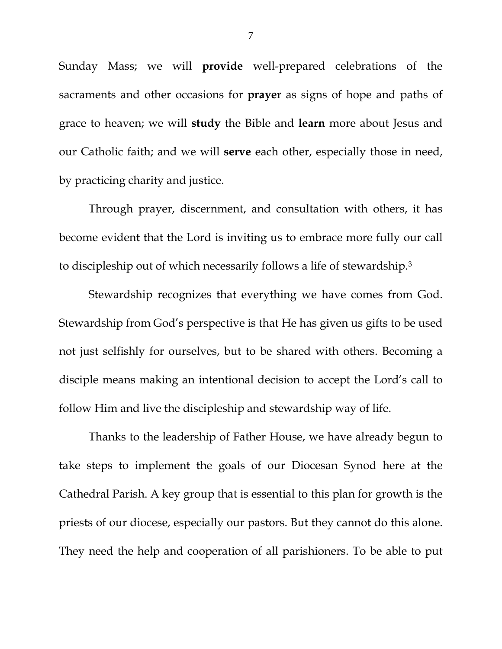Sunday Mass; we will **provide** well-prepared celebrations of the sacraments and other occasions for **prayer** as signs of hope and paths of grace to heaven; we will **study** the Bible and **learn** more about Jesus and our Catholic faith; and we will **serve** each other, especially those in need, by practicing charity and justice.

Through prayer, discernment, and consultation with others, it has become evident that the Lord is inviting us to embrace more fully our call to discipleship out of which necessarily follows a life of stewardship.[3](#page-7-2)

Stewardship recognizes that everything we have comes from God. Stewardship from God's perspective is that He has given us gifts to be used not just selfishly for ourselves, but to be shared with others. Becoming a disciple means making an intentional decision to accept the Lord's call to follow Him and live the discipleship and stewardship way of life.

Thanks to the leadership of Father House, we have already begun to take steps to implement the goals of our Diocesan Synod here at the Cathedral Parish. A key group that is essential to this plan for growth is the priests of our diocese, especially our pastors. But they cannot do this alone. They need the help and cooperation of all parishioners. To be able to put